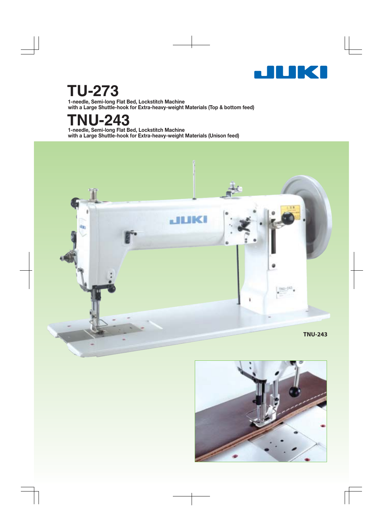

# **TU-273**

**1-needle, Semi-long Flat Bed, Lockstitch Machine with a Large Shuttle-hook for Extra-heavy-weight Materials (Top & bottom feed)**

# **TNU-243**

**1-needle, Semi-long Flat Bed, Lockstitch Machine with a Large Shuttle-hook for Extra-heavy-weight Materials (Unison feed)**



![](_page_0_Picture_6.jpeg)